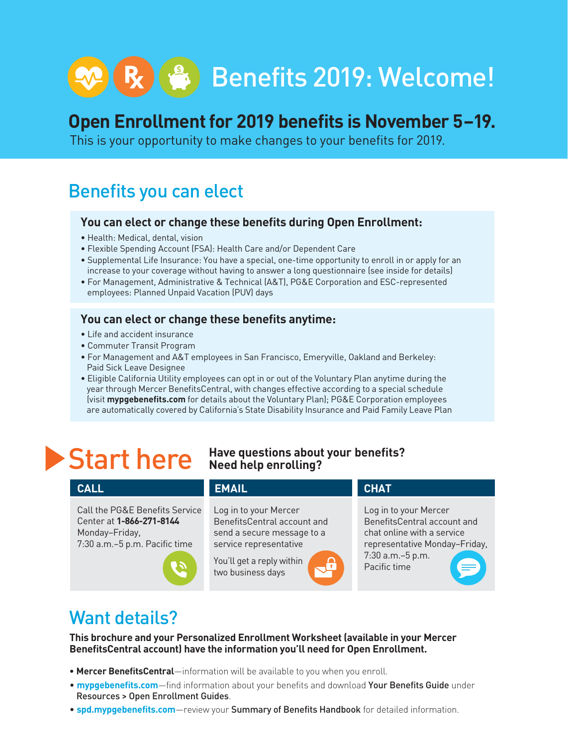# R (8) Benefits 2019: Welcome!

### **Open Enrollment for 2019 benefits is November 5–19.**

This is your opportunity to make changes to your benefits for 2019.

### Benefits you can elect

#### **You can elect or change these benefits during Open Enrollment:**

- Health: Medical, dental, vision
- Flexible Spending Account (FSA): Health Care and/or Dependent Care
- Supplemental Life Insurance: You have a special, one-time opportunity to enroll in or apply for an increase to your coverage without having to answer a long questionnaire (see inside for details)
- For Management, Administrative & Technical (A&T), PG&E Corporation and ESC-represented employees: Planned Unpaid Vacation (PUV) days

#### **You can elect or change these benefits anytime:**

- Life and accident insurance
- Commuter Transit Program
- For Management and A&T employees in San Francisco, Emeryville, Oakland and Berkeley: Paid Sick Leave Designee
- Eligible California Utility employees can opt in or out of the Voluntary Plan anytime during the year through Mercer BenefitsCentral, with changes effective according to a special schedule (visit **mypgebenefits.com** for details about the Voluntary Plan); PG&E Corporation employees are automatically covered by California's State Disability Insurance and Paid Family Leave Plan

#### **Start here** Have questions about your benefits? **Need help enrolling?**

#### **CALL EMAIL** Call the PG&E Benefits Service Center at **1-866-271-8144** Monday–Friday, 7:30 a.m.–5 p.m. Pacific time Log in to your Mercer BenefitsCentral account and send a secure message to a service representative You'll get a reply within two business days Log in to your Mercer BenefitsCentral account and chat online with a service representative Monday–Friday, 7:30 a.m.–5 p.m. Pacific time **CHAT**

### Want details?

**This brochure and your Personalized Enrollment Worksheet (available in your Mercer BenefitsCentral account) have the information you'll need for Open Enrollment.** 

- **Mercer BenefitsCentral**—information will be available to you when you enroll.
- **mypgebenefits.com**—find information about your benefits and download Your Benefits Guide under Resources > Open Enrollment Guides.
- **spd.mypgebenefits.com**—review your Summary of Benefits Handbook for detailed information.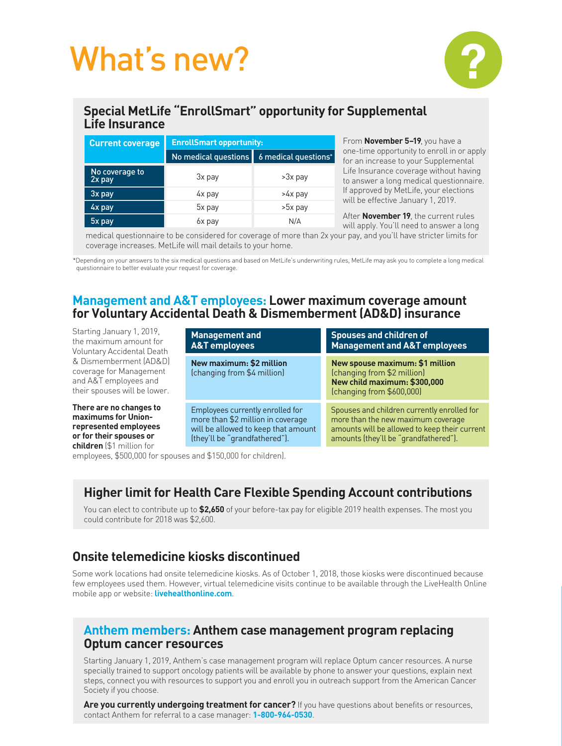## What's new?



#### **Special MetLife "EnrollSmart" opportunity for Supplemental Life Insurance**

| <b>Current coverage</b>  | <b>EnrollSmart opportunity:</b> |                      |
|--------------------------|---------------------------------|----------------------|
|                          | No medical questions            | 6 medical questions* |
| No coverage to<br>2x pay | 3x pay                          | >3x pay              |
| 3x pay                   | 4x pay                          | >4x pay              |
| 4x pay                   | 5x pay                          | >5x pay              |
| 5x pay                   | 6x pay                          | N/A                  |

From **November 5–19**, you have a one-time opportunity to enroll in or apply for an increase to your Supplemental Life Insurance coverage without having to answer a long medical questionnaire. If approved by MetLife, your elections will be effective January 1, 2019.

After **November 19**, the current rules will apply. You'll need to answer a long

 medical questionnaire to be considered for coverage of more than 2x your pay, and you'll have stricter limits for coverage increases. MetLife will mail details to your home.

\*Depending on your answers to the six medical questions and based on MetLife's underwriting rules, MetLife may ask you to complete a long medical questionnaire to better evaluate your request for coverage.

#### **Management and A&T employees: Lower maximum coverage amount for Voluntary Accidental Death & Dismemberment (AD&D) insurance**

Starting January 1, 2019, the maximum amount for Voluntary Accidental Death & Dismemberment (AD&D) coverage for Management and A&T employees and their spouses will be lower.

**There are no changes to maximums for Unionrepresented employees or for their spouses or children** (\$1 million for

| <b>Management and</b><br><b>A&amp;T</b> employees                                                                                             | <b>Spouses and children of</b><br><b>Management and A&amp;T employees</b>                                                                                                   |
|-----------------------------------------------------------------------------------------------------------------------------------------------|-----------------------------------------------------------------------------------------------------------------------------------------------------------------------------|
| New maximum: \$2 million<br>(changing from \$4 million)                                                                                       | New spouse maximum: \$1 million<br>(changing from \$2 million)<br>New child maximum: \$300,000<br>(changing from \$600,000)                                                 |
| Employees currently enrolled for<br>more than \$2 million in coverage<br>will be allowed to keep that amount<br>(they'll be "grandfathered"). | Spouses and children currently enrolled for<br>more than the new maximum coverage<br>amounts will be allowed to keep their current<br>amounts (they'll be "grandfathered"). |

employees, \$500,000 for spouses and \$150,000 for children).

### **Higher limit for Health Care Flexible Spending Account contributions**

You can elect to contribute up to **\$2,650** of your before-tax pay for eligible 2019 health expenses. The most you could contribute for 2018 was \$2,600.

### **Onsite telemedicine kiosks discontinued**

Some work locations had onsite telemedicine kiosks. As of October 1, 2018, those kiosks were discontinued because few employees used them. However, virtual telemedicine visits continue to be available through the LiveHealth Online mobile app or website: **livehealthonline.com**.

#### **Anthem members: Anthem case management program replacing Optum cancer resources**

Starting January 1, 2019, Anthem's case management program will replace Optum cancer resources. A nurse specially trained to support oncology patients will be available by phone to answer your questions, explain next steps, connect you with resources to support you and enroll you in outreach support from the American Cancer Society if you choose.

**Are you currently undergoing treatment for cancer?** If you have questions about benefits or resources, contact Anthem for referral to a case manager: **1-800-964-0530**.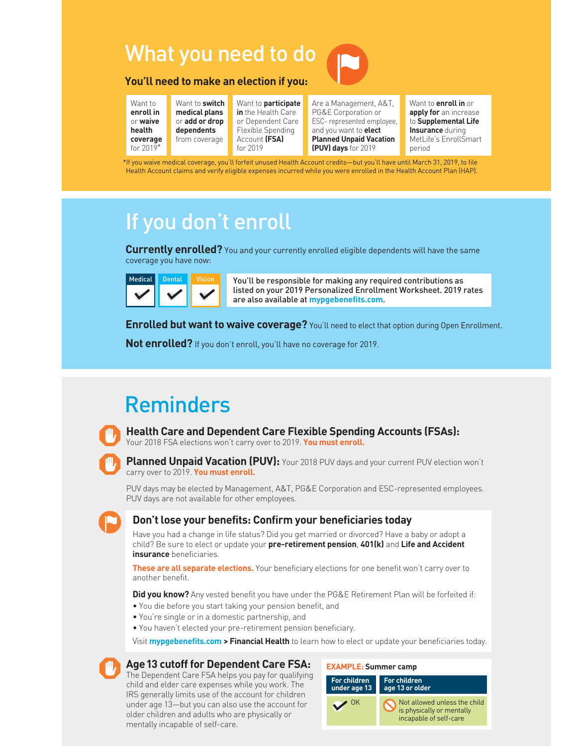## What you need to do

#### **You'll need to make an election if you:**

Want to **enroll in** or **waive health coverage** for 2019\*

Want to **switch medical plans** or **add or drop dependents** from coverage

Want to **participate in** the Health Care or Dependent Care Flexible Spending Account **(FSA)** for 2019

Are a Management, A&T, PG&E Corporation or ESC- represented employee, and you want to **elect Planned Unpaid Vacation (PUV) days** for 2019

Want to **enroll in** or **apply for** an increase to **Supplemental Life Insurance** during MetLife's EnrollSmart period

\*If you waive medical coverage, you'll forfeit unused Health Account credits—but you'll have until March 31, 2019, to file Health Account claims and verify eligible expenses incurred while you were enrolled in the Health Account Plan (HAP).

### If you don't enroll

**Currently enrolled?** You and your currently enrolled eligible dependents will have the same coverage you have now:



You'll be responsible for making any required contributions as listed on your 2019 Personalized Enrollment Worksheet. 2019 rates are also available at **mypgebenefits.com**.

**Enrolled but want to waive coverage?** You'll need to elect that option during Open Enrollment.

**Not enrolled?** If you don't enroll, you'll have no coverage for 2019.

## Reminders



**Health Care and Dependent Care Flexible Spending Accounts (FSAs):** 

Your 2018 FSA elections won't carry over to 2019. **You must enroll.**

**Planned Unpaid Vacation (PUV):** Your 2018 PUV days and your current PUV election won't carry over to 2019. **You must enroll.**

PUV days may be elected by Management, A&T, PG&E Corporation and ESC-represented employees. PUV days are not available for other employees.



#### **Don't lose your benefits: Confirm your beneficiaries today**

Have you had a change in life status? Did you get married or divorced? Have a baby or adopt a child? Be sure to elect or update your **pre-retirement pension**, **401(k)** and **Life and Accident insurance** beneficiaries.

**These are all separate elections.** Your beneficiary elections for one benefit won't carry over to another benefit.

**Did you know?** Any vested benefit you have under the PG&E Retirement Plan will be forfeited if:

- You die before you start taking your pension benefit, and
- You're single or in a domestic partnership, and
- You haven't elected your pre-retirement pension beneficiary.

Visit **mypgebenefits.com > Financial Health** to learn how to elect or update your beneficiaries today.

#### **Age13 cutoff for Dependent Care FSA:**

The Dependent Care FSA helps you pay for qualifying child and elder care expenses while you work. The IRS generally limits use of the account for children under age 13—but you can also use the account for older children and adults who are physically or mentally incapable of self-care.

| <b>EXAMPLE: Summer camp</b>         |                                                                                     |  |
|-------------------------------------|-------------------------------------------------------------------------------------|--|
| <b>For children</b><br>under age 13 | <b>For children</b><br>age 13 or older                                              |  |
| 0K                                  | Not allowed unless the child<br>is physically or mentally<br>incapable of self-care |  |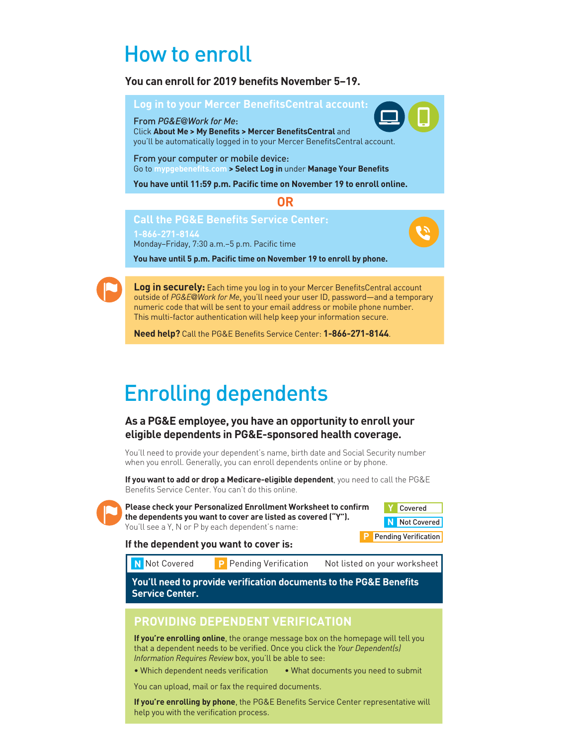### How to enroll

#### **You can enroll for 2019 benefits November 5–19.**



**You have until 5 p.m. Pacific time on November 19 to enroll by phone.**

**Log in securely:** Each time you log in to your Mercer BenefitsCentral account outside of *PG&E@Work for Me*, you'll need your user ID, password—and a temporary numeric code that will be sent to your email address or mobile phone number. This multi-factor authentication will help keep your information secure.

**Need help?** Call the PG&E Benefits Service Center: **1-866-271-8144**.

### Enrolling dependents

#### **As a PG&E employee, you have an opportunity to enroll your eligible dependents in PG&E-sponsored health coverage.**

You'll need to provide your dependent's name, birth date and Social Security number when you enroll. Generally, you can enroll dependents online or by phone.

**If you want to add or drop a Medicare-eligible dependent**, you need to call the PG&E Benefits Service Center. You can't do this online.



**Please check your Personalized Enrollment Worksheet to confirm the dependents you want to cover are listed as covered ("Y").** You'll see a Y, N or P by each dependent's name:

| Covered     |  |
|-------------|--|
| Not Covered |  |

**Pending Verification** 

#### **If the dependent you want to cover is:**

**N** Not Covered

Pending Verification Not listed on your worksheet

**You'll need to provide verification documents to the PG&E Benefits Service Center.**

#### **PROVIDING DEPENDENT VERIFICATION**

**If you're enrolling online**, the orange message box on the homepage will tell you that a dependent needs to be verified. Once you click the *Your Dependent(s) Information Requires Review* box, you'll be able to see:

• Which dependent needs verification • What documents you need to submit

You can upload, mail or fax the required documents.

**If you're enrolling by phone**, the PG&E Benefits Service Center representative will help you with the verification process.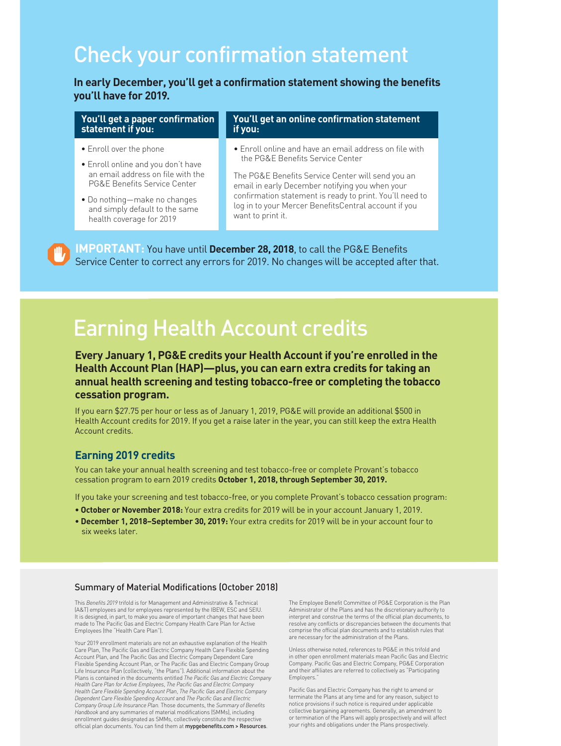### Check your confirmation statement

**In early December, you'll get a confirmation statement showing the benefits you'll have for 2019.**

#### **You'll get a paper confirmation statement if you:**

- Enroll over the phone
- Enroll online and you don't have an email address on file with the PG&E Benefits Service Center
- Do nothing—make no changes and simply default to the same health coverage for 2019

#### **You'll get an online confirmation statement if you:**

• Enroll online and have an email address on file with the PG&E Benefits Service Center

The PG&E Benefits Service Center will send you an email in early December notifying you when your confirmation statement is ready to print. You'll need to log in to your Mercer BenefitsCentral account if you want to print it.

**IMPORTANT:** You have until **December 28, 2018**, to call the PG&E Benefits Service Center to correct any errors for 2019. No changes will be accepted after that.

### Earning Health Account credits

**Every January 1, PG&E credits your Health Account if you're enrolled in the Health Account Plan (HAP)—plus, you can earn extra credits for taking an annual health screening and testing tobacco-free or completing the tobacco cessation program.** 

If you earn \$27.75 per hour or less as of January 1, 2019, PG&E will provide an additional \$500 in Health Account credits for 2019. If you get a raise later in the year, you can still keep the extra Health Account credits.

#### **Earning 2019 credits**

You can take your annual health screening and test tobacco-free or complete Provant's tobacco cessation program to earn 2019 credits **October 1, 2018, through September 30, 2019.**

If you take your screening and test tobacco-free, or you complete Provant's tobacco cessation program:

- **October or November 2018:** Your extra credits for 2019 will be in your account January 1, 2019.
- **December 1, 2018–September 30, 2019:** Your extra credits for 2019 will be in your account four to six weeks later.

#### Summary of Material Modifications (October 2018)

This *Benefits 2019* trifold is for Management and Administrative & Technical (A&T) employees and for employees represented by the IBEW, ESC and SEIU. It is designed, in part, to make you aware of important changes that have been made to The Pacific Gas and Electric Company Health Care Plan for Active Employees (the "Health Care Plan").

Your 2019 enrollment materials are not an exhaustive explanation of the Health Care Plan, The Pacific Gas and Electric Company Health Care Flexible Spending Account Plan, and The Pacific Gas and Electric Company Dependent Care Flexible Spending Account Plan, or The Pacific Gas and Electric Company Group Life Insurance Plan (collectively, "the Plans"). Additional information about the Plans is contained in the documents entitled *The Pacific Gas and Electric Company Health Care Plan for Active Employees*, *The Pacific Gas and Electric Company Health Care Flexible Spending Account Plan*, *The Pacific Gas and Electric Company Dependent Care Flexible Spending Account* and *The Pacific Gas and Electric Company Group Life Insurance Plan.* Those documents, the *Summary of Benefits Handbook* and any summaries of material modifications (SMMs), including enrollment guides designated as SMMs, collectively constitute the respective official plan documents. You can find them at mypgebenefits.com > Resources.

The Employee Benefit Committee of PG&E Corporation is the Plan Administrator of the Plans and has the discretionary authority to interpret and construe the terms of the official plan documents, to resolve any conflicts or discrepancies between the documents that comprise the official plan documents and to establish rules that are necessary for the administration of the Plans.

Unless otherwise noted, references to PG&E in this trifold and in other open enrollment materials mean Pacific Gas and Electric Company. Pacific Gas and Electric Company, PG&E Corporation and their affiliates are referred to collectively as "Participating Employers."

Pacific Gas and Electric Company has the right to amend or terminate the Plans at any time and for any reason, subject to notice provisions if such notice is required under applicable collective bargaining agreements. Generally, an amendment to or termination of the Plans will apply prospectively and will affect your rights and obligations under the Plans prospectively.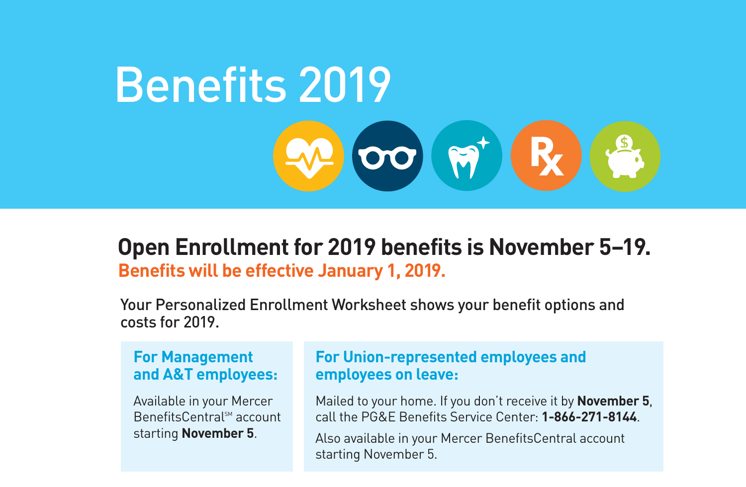# Benefits 2019OO MTR

### **Benefits will be effective January 1, 2019. Open Enrollment for 2019 benefits is November 5–19.**

Your Personalized Enrollment Worksheet shows your benefit options and costs for 2019.

#### **For Management and A&T employees:**

Available in your Mercer BenefitsCentral™ account starting **November 5**.

#### **For Union-represented employees and employees on leave:**

Mailed to your home. If you don't receive it by **November 5**, call the PG&E Benefits Service Center: **1-866-271-8144**.

Also available in your Mercer BenefitsCentral account starting November 5.